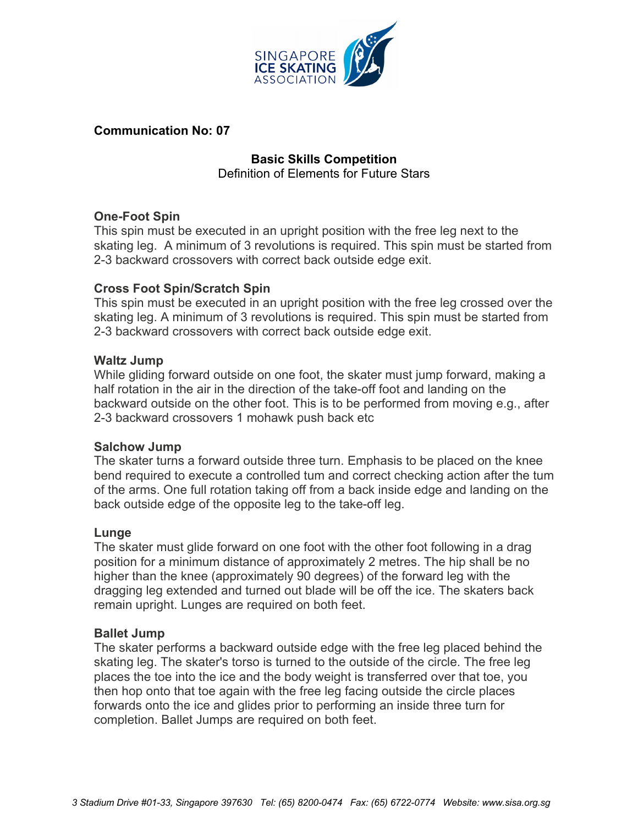

## **Communication No: 07**

# **Basic Skills Competition** Definition of Elements for Future Stars

# **One-Foot Spin**

This spin must be executed in an upright position with the free leg next to the skating leg. A minimum of 3 revolutions is required. This spin must be started from 2-3 backward crossovers with correct back outside edge exit.

## **Cross Foot Spin/Scratch Spin**

This spin must be executed in an upright position with the free leg crossed over the skating leg. A minimum of 3 revolutions is required. This spin must be started from 2-3 backward crossovers with correct back outside edge exit.

## **Waltz Jump**

While gliding forward outside on one foot, the skater must jump forward, making a half rotation in the air in the direction of the take-off foot and landing on the backward outside on the other foot. This is to be performed from moving e.g., after 2-3 backward crossovers 1 mohawk push back etc

## **Salchow Jump**

The skater turns a forward outside three turn. Emphasis to be placed on the knee bend required to execute a controlled tum and correct checking action after the tum of the arms. One full rotation taking off from a back inside edge and landing on the back outside edge of the opposite leg to the take-off leg.

## **Lunge**

The skater must glide forward on one foot with the other foot following in a drag position for a minimum distance of approximately 2 metres. The hip shall be no higher than the knee (approximately 90 degrees) of the forward leg with the dragging leg extended and turned out blade will be off the ice. The skaters back remain upright. Lunges are required on both feet.

## **Ballet Jump**

The skater performs a backward outside edge with the free leg placed behind the skating leg. The skater's torso is turned to the outside of the circle. The free leg places the toe into the ice and the body weight is transferred over that toe, you then hop onto that toe again with the free leg facing outside the circle places forwards onto the ice and glides prior to performing an inside three turn for completion. Ballet Jumps are required on both feet.